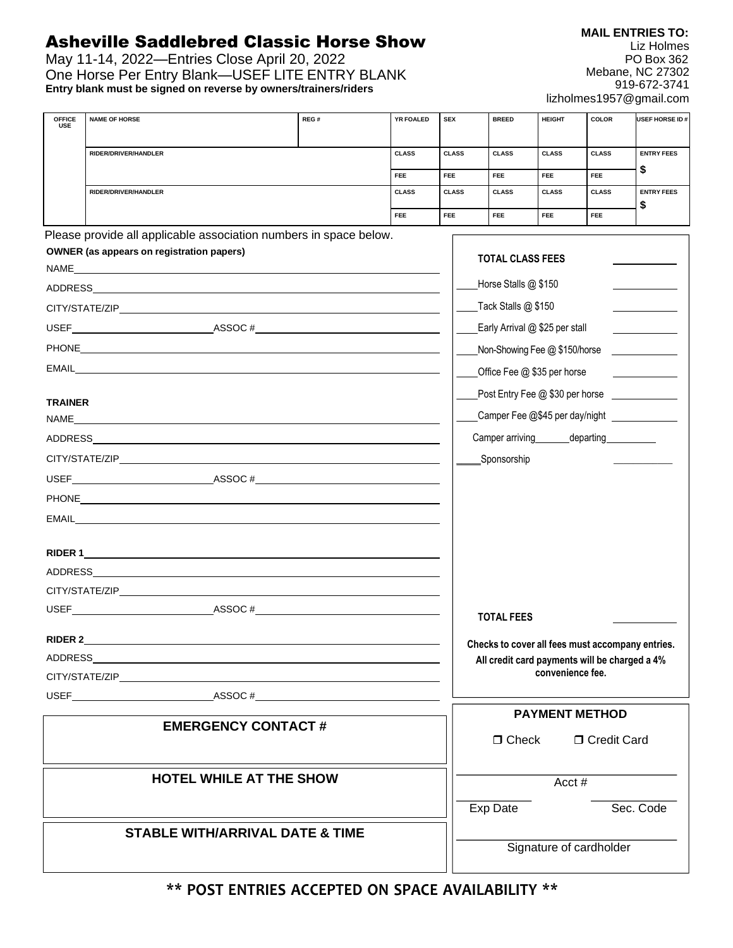## Asheville Saddlebred Classic Horse Show

May 11-14, 2022—Entries Close April 20, 2022 One Horse Per Entry Blank—USEF LITE ENTRY BLANK **Entry blank must be signed on reverse by owners/trainers/riders**

| <b>OFFICE</b><br><b>USE</b>    | <b>NAME OF HORSE</b>                                              | REG#                                       |              | YR FOALED | <b>SEX</b>   | <b>BREED</b>                   | <b>HEIGHT</b>                                                     | <b>COLOR</b>  | USEF HORSE ID#                                   |  |
|--------------------------------|-------------------------------------------------------------------|--------------------------------------------|--------------|-----------|--------------|--------------------------------|-------------------------------------------------------------------|---------------|--------------------------------------------------|--|
|                                | RIDER/DRIVER/HANDLER                                              |                                            | <b>CLASS</b> |           | <b>CLASS</b> | <b>CLASS</b>                   | <b>CLASS</b>                                                      | <b>CLASS</b>  | <b>ENTRY FEES</b>                                |  |
|                                |                                                                   |                                            | <b>FEE</b>   |           | FEE.         | FEE                            | <b>FEE</b>                                                        | FEE           | \$                                               |  |
|                                | <b>RIDER/DRIVER/HANDLER</b>                                       |                                            | <b>CLASS</b> |           | <b>CLASS</b> | <b>CLASS</b>                   | <b>CLASS</b>                                                      | <b>CLASS</b>  | <b>ENTRY FEES</b><br>\$                          |  |
|                                |                                                                   |                                            | <b>FEE</b>   |           | <b>FEE</b>   | <b>FEE</b>                     | <b>FEE</b>                                                        | <b>FEE</b>    |                                                  |  |
|                                | Please provide all applicable association numbers in space below. |                                            |              |           |              |                                |                                                                   |               |                                                  |  |
|                                | <b>OWNER</b> (as appears on registration papers)                  |                                            |              |           |              | <b>TOTAL CLASS FEES</b>        |                                                                   |               |                                                  |  |
|                                |                                                                   |                                            |              |           |              | Horse Stalls @ \$150           |                                                                   |               |                                                  |  |
|                                |                                                                   |                                            |              |           |              | Tack Stalls @ \$150            |                                                                   |               |                                                  |  |
|                                |                                                                   |                                            |              |           |              | Early Arrival @ \$25 per stall |                                                                   |               |                                                  |  |
|                                |                                                                   |                                            |              |           |              |                                | Non-Showing Fee @ \$150/horse                                     |               |                                                  |  |
|                                |                                                                   |                                            |              |           |              |                                | Office Fee @ \$35 per horse                                       |               |                                                  |  |
|                                |                                                                   |                                            |              |           |              |                                |                                                                   |               | Post Entry Fee @ \$30 per horse ____________     |  |
| <b>TRAINER</b><br>NAME         | <u> 1980 - Johann Barnett, fransk kongresu (f. 1980)</u>          |                                            |              |           |              |                                |                                                                   |               | Camper Fee @\$45 per day/night ______________    |  |
|                                |                                                                   |                                            |              |           |              |                                | Camper arriving departing densities                               |               |                                                  |  |
|                                |                                                                   |                                            |              |           |              | Sponsorship                    |                                                                   |               |                                                  |  |
|                                |                                                                   |                                            |              |           |              |                                |                                                                   |               |                                                  |  |
|                                |                                                                   |                                            |              |           |              |                                |                                                                   |               |                                                  |  |
|                                | EMAIL <b>Example 2006</b>                                         |                                            |              |           |              |                                |                                                                   |               |                                                  |  |
|                                |                                                                   |                                            |              |           |              |                                |                                                                   |               |                                                  |  |
|                                |                                                                   |                                            |              |           |              |                                |                                                                   |               |                                                  |  |
|                                |                                                                   |                                            |              |           |              |                                |                                                                   |               |                                                  |  |
|                                | USEF $\qquad \qquad \text{ASSOC}\;#$                              |                                            |              |           |              |                                |                                                                   |               |                                                  |  |
|                                |                                                                   |                                            |              |           |              | <b>TOTAL FEES</b>              |                                                                   |               |                                                  |  |
|                                |                                                                   |                                            |              |           |              |                                |                                                                   |               | Checks to cover all fees must accompany entries. |  |
| ADDRESS                        |                                                                   |                                            |              |           |              |                                | All credit card payments will be charged a 4%<br>convenience fee. |               |                                                  |  |
|                                | USEF $\qquad \qquad \text{ASSOC}\;#$                              |                                            |              |           |              |                                |                                                                   |               |                                                  |  |
|                                |                                                                   |                                            |              |           |              |                                | <b>PAYMENT METHOD</b>                                             |               |                                                  |  |
|                                |                                                                   | <b>EMERGENCY CONTACT#</b>                  |              |           |              | $\Box$ Check                   |                                                                   | □ Credit Card |                                                  |  |
|                                |                                                                   |                                            |              |           |              |                                |                                                                   |               |                                                  |  |
| <b>HOTEL WHILE AT THE SHOW</b> |                                                                   |                                            |              |           | Acct #       |                                |                                                                   |               |                                                  |  |
|                                |                                                                   |                                            |              |           |              |                                |                                                                   |               |                                                  |  |
|                                |                                                                   |                                            |              |           |              | Exp Date                       |                                                                   |               | Sec. Code                                        |  |
|                                |                                                                   | <b>STABLE WITH/ARRIVAL DATE &amp; TIME</b> |              |           |              |                                |                                                                   |               |                                                  |  |
|                                |                                                                   |                                            |              |           |              |                                | Signature of cardholder                                           |               |                                                  |  |

**\*\* POST ENTRIES ACCEPTED ON SPACE AVAILABILITY \*\***